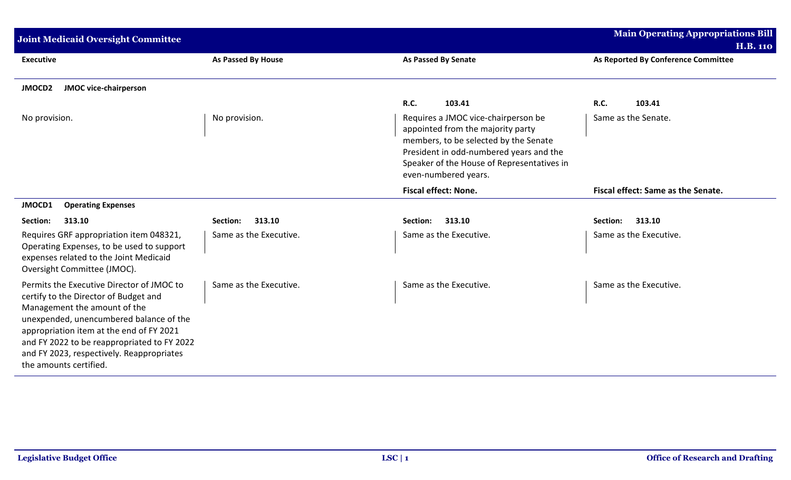| <b>Joint Medicaid Oversight Committee</b>                                                                                                                                                                                                                                                                                       |                           |                                                                                                                                                                                                                                    | <b>Main Operating Appropriations Bill</b> |
|---------------------------------------------------------------------------------------------------------------------------------------------------------------------------------------------------------------------------------------------------------------------------------------------------------------------------------|---------------------------|------------------------------------------------------------------------------------------------------------------------------------------------------------------------------------------------------------------------------------|-------------------------------------------|
|                                                                                                                                                                                                                                                                                                                                 |                           |                                                                                                                                                                                                                                    | <b>H.B. 110</b>                           |
| <b>Executive</b>                                                                                                                                                                                                                                                                                                                | <b>As Passed By House</b> | <b>As Passed By Senate</b>                                                                                                                                                                                                         | As Reported By Conference Committee       |
| <b>JMOCD2</b><br><b>JMOC vice-chairperson</b>                                                                                                                                                                                                                                                                                   |                           |                                                                                                                                                                                                                                    |                                           |
|                                                                                                                                                                                                                                                                                                                                 |                           | <b>R.C.</b><br>103.41                                                                                                                                                                                                              | <b>R.C.</b><br>103.41                     |
| No provision.                                                                                                                                                                                                                                                                                                                   | No provision.             | Requires a JMOC vice-chairperson be<br>appointed from the majority party<br>members, to be selected by the Senate<br>President in odd-numbered years and the<br>Speaker of the House of Representatives in<br>even-numbered years. | Same as the Senate.                       |
|                                                                                                                                                                                                                                                                                                                                 |                           | <b>Fiscal effect: None.</b>                                                                                                                                                                                                        | Fiscal effect: Same as the Senate.        |
| JMOCD1<br><b>Operating Expenses</b>                                                                                                                                                                                                                                                                                             |                           |                                                                                                                                                                                                                                    |                                           |
| 313.10<br>Section:                                                                                                                                                                                                                                                                                                              | 313.10<br>Section:        | 313.10<br>Section:                                                                                                                                                                                                                 | Section:<br>313.10                        |
| Requires GRF appropriation item 048321,<br>Operating Expenses, to be used to support<br>expenses related to the Joint Medicaid<br>Oversight Committee (JMOC).                                                                                                                                                                   | Same as the Executive.    | Same as the Executive.                                                                                                                                                                                                             | Same as the Executive.                    |
| Permits the Executive Director of JMOC to<br>certify to the Director of Budget and<br>Management the amount of the<br>unexpended, unencumbered balance of the<br>appropriation item at the end of FY 2021<br>and FY 2022 to be reappropriated to FY 2022<br>and FY 2023, respectively. Reappropriates<br>the amounts certified. | Same as the Executive.    | Same as the Executive.                                                                                                                                                                                                             | Same as the Executive.                    |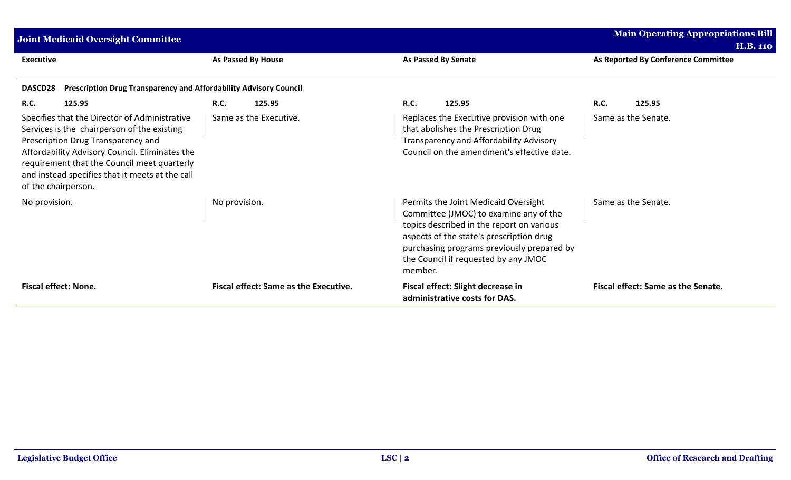| Joint Medicaid Oversight Committee                                                                                                                                                                                                                                                                              | <b>Main Operating Appropriations Bill</b><br><b>H.B. 110</b> |                                                                                                                                                                                                                                                                          |                                              |
|-----------------------------------------------------------------------------------------------------------------------------------------------------------------------------------------------------------------------------------------------------------------------------------------------------------------|--------------------------------------------------------------|--------------------------------------------------------------------------------------------------------------------------------------------------------------------------------------------------------------------------------------------------------------------------|----------------------------------------------|
| <b>Executive</b>                                                                                                                                                                                                                                                                                                | <b>As Passed By House</b>                                    | <b>As Passed By Senate</b>                                                                                                                                                                                                                                               | As Reported By Conference Committee          |
| Prescription Drug Transparency and Affordability Advisory Council<br>DASCD28                                                                                                                                                                                                                                    |                                                              |                                                                                                                                                                                                                                                                          |                                              |
| <b>R.C.</b><br>125.95<br>Specifies that the Director of Administrative<br>Services is the chairperson of the existing<br>Prescription Drug Transparency and<br>Affordability Advisory Council. Eliminates the<br>requirement that the Council meet quarterly<br>and instead specifies that it meets at the call | <b>R.C.</b><br>125.95<br>Same as the Executive.              | <b>R.C.</b><br>125.95<br>Replaces the Executive provision with one<br>that abolishes the Prescription Drug<br>Transparency and Affordability Advisory<br>Council on the amendment's effective date.                                                                      | <b>R.C.</b><br>125.95<br>Same as the Senate. |
| of the chairperson.<br>No provision.                                                                                                                                                                                                                                                                            | No provision.                                                | Permits the Joint Medicaid Oversight<br>Committee (JMOC) to examine any of the<br>topics described in the report on various<br>aspects of the state's prescription drug<br>purchasing programs previously prepared by<br>the Council if requested by any JMOC<br>member. | Same as the Senate.                          |
| <b>Fiscal effect: None.</b>                                                                                                                                                                                                                                                                                     | <b>Fiscal effect: Same as the Executive.</b>                 | Fiscal effect: Slight decrease in<br>administrative costs for DAS.                                                                                                                                                                                                       | Fiscal effect: Same as the Senate.           |